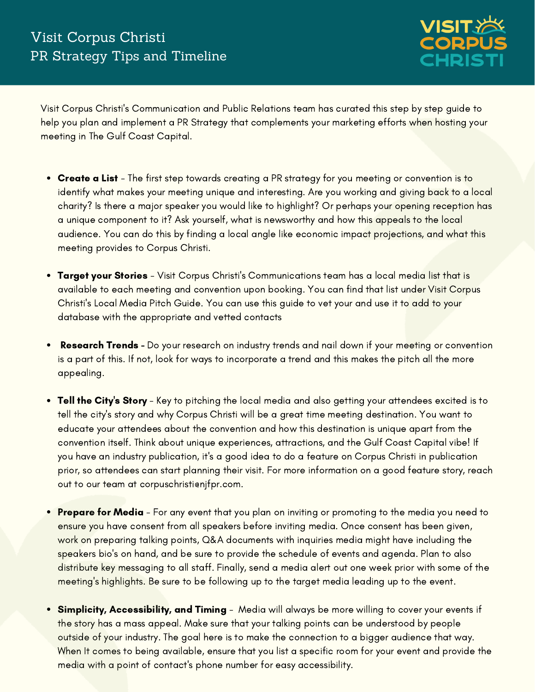

Visit Corpus Christi's Communication and Public Relations team has curated this step by step guide to help you plan and implement a PR Strategy that complements your marketing efforts when hosting your meeting in The Gulf Coast Capital.

- Create a List The first step towards creating a PR strategy for you meeting or convention is to identify what makes your meeting unique and interesting. Are you working and giving back to a local charity? Is there a major speaker you would like to highlight? Or perhaps your opening reception has a unique component to it? Ask yourself, what is newsworthy and how this appeals to the local audience. You can do this by finding a local angle like economic impact projections, and what this meeting provides to Corpus Christi.
- Target your Stories Visit Corpus Christi's Communications team has a local media list that is available to each meeting and convention upon booking. You can find that list under Visit Corpus Christi's Local Media Pitch Guide. You can use this guide to vet your and use it to add to your database with the appropriate and vetted contacts
- Research Trends Do your research on industry trends and nail down if your meeting or convention  $\bullet$ is a part of this. If not, look for ways to incorporate a trend and this makes the pitch all the more appealing.
- Tell the City's Story Key to pitching the local media and also getting your attendees excited is to tell the city's story and why Corpus Christi will be a great time meeting destination. You want to educate your attendees about the convention and how this destination is unique apart from the convention itself. Think about unique experiences, attractions, and the Gulf Coast Capital vibe! If you have an industry publication, it's a good idea to do a feature on Corpus Christi in publication prior, so attendees can start planning their visit. For more information on a good feature story, reach out to our team at corpuschristionifpr.com.
- **Prepare for Media** For any event that you plan on inviting or promoting to the media you need to ensure you have consent from all speakers before inviting media. Once consent has been given, work on preparing talking points, Q&A documents with inquiries media might have including the speakers bio's on hand, and be sure to provide the schedule of events and agenda. Plan to also distribute key messaging to all staff. Finally, send a media alert out one week prior with some of the meeting's highlights. Be sure to be following up to the target media leading up to the event.
- Simplicity, Accessibility, and Timing Media will always be more willing to cover your events if the story has a mass appeal. Make sure that your talking points can be understood by people outside of your industry. The goal here is to make the connection to a bigger audience that way. When It comes to being available, ensure that you list a specific room for your event and provide the media with a point of contact's phone number for easy accessibility.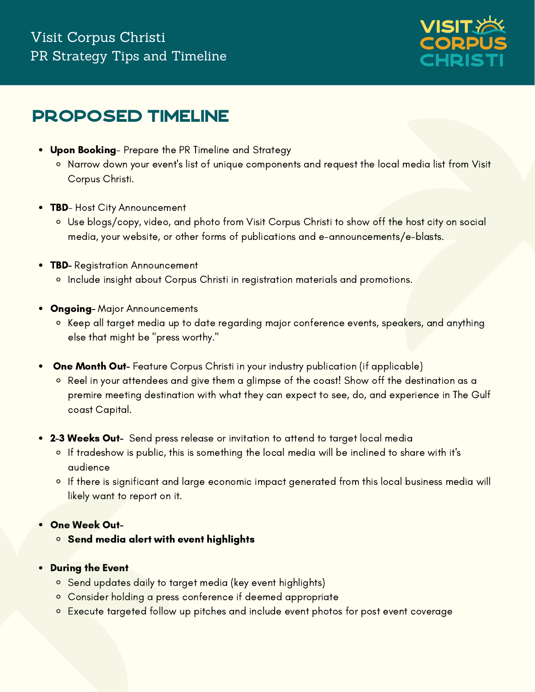### Visit Corpus Christi PR Strategy Tips and Timeline



### Proposed Timeline

- Upon Booking- Prepare the PR Timeline and Strategy
	- o Narrow down your event's list of unique components and request the local media list from Visit Corpus Christi.
- **TBD- Host City Announcement** 
	- Use blogs/copy, video, and photo from Visit Corpus Christi to show off the host city on social media, your website, or other forms of publications and e-announcements/e-blasts.
- **TBD- Registration Announcement** 
	- <sup>o</sup> Include insight about Corpus Christi in registration materials and promotions.
- **Ongoing-** Major Announcements
	- <sup>o</sup> Keep all target media up to date regarding major conference events, speakers, and anything else that might be "press worthy."
- One Month Out- Feature Corpus Christi in your industry publication (if applicable)  $\bullet$ 
	- Reel in your attendees and give them a glimpse of the coast! Show off the destination as a premire meeting destination with what they can expect to see, do, and experience in The Gulf coast Capital.
- 2-3 Weeks Out- Send press release or invitation to attend to target local media
	- o If tradeshow is public, this is something the local media will be inclined to share with it's audience
	- o If there is significant and large economic impact generated from this local business media will likely want to report on it.
- One Week Out-
	- $\circ$  Send media alert with event highlights
- During the Event
	- <sup>o</sup> Send updates daily to target media (key event highlights)
	- Consider holding a press conference if deemed appropriate
	- o Execute targeted follow up pitches and include event photos for post event coverage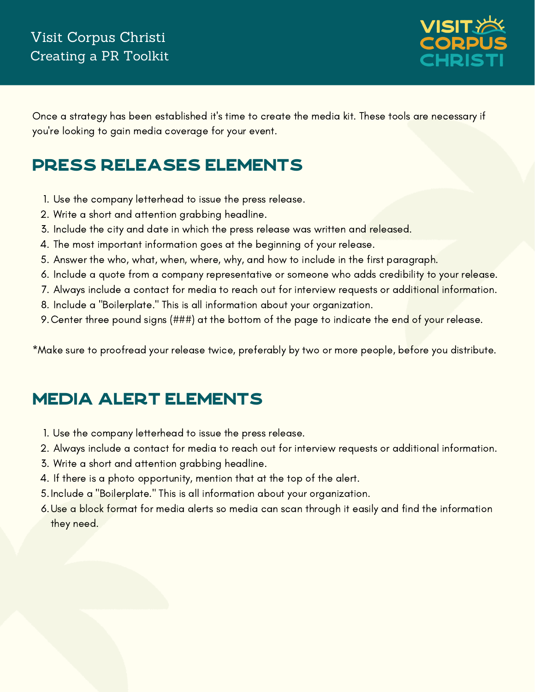

Once a strategy has been established it's time to create the media kit. These tools are necessary if you're looking to gain media coverage for your event.

## Press Releases Elements

- 1. Use the company letterhead to issue the press release.
- Write a short and attention grabbing headline. 2.
- Include the city and date in which the press release was written and released. 3.
- 4. The most important information goes at the beginning of your release.
- 5. Answer the who, what, when, where, why, and how to include in the first paragraph.
- 6. Include a quote from a company representative or someone who adds credibility to your release.
- Always include a contact for media to reach out for interview requests or additional information. 7.
- 8. Include a "Boilerplate." This is all information about your organization.
- Center three pound signs (###) at the bottom of the page to indicate the end of your release. 9.

\*Make sure to proofread your release twice, preferably by two or more people, before you distribute.

## Media Alert Elements

- Use the company letterhead to issue the press release. 1.
- Always include a contact for media to reach out for interview requests or additional information. 2.
- Write a short and attention grabbing headline. 3.
- 4. If there is a photo opportunity, mention that at the top of the alert.
- 5. Include a "Boilerplate." This is all information about your organization.
- 6.Use a block format for media alerts so media can scan through it easily and find the information they need.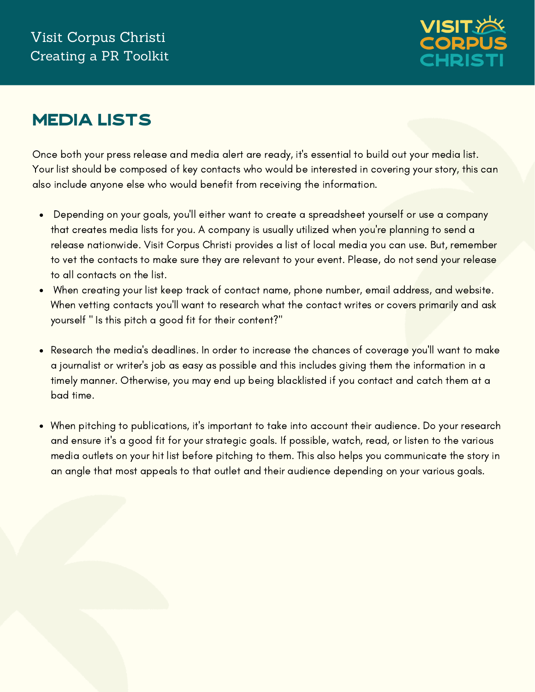

# Media Lists

Once both your press release and media alert are ready, it's essential to build out your media list. Your list should be composed of key contacts who would be interested in covering your story, this can also include anyone else who would benefit from receiving the information.

- Depending on your goals, you'll either want to create a spreadsheet yourself or use a company  $\bullet$ that creates media lists for you. A company is usually utilized when you're planning to send a release nationwide. Visit Corpus Christi provides a list of local media you can use. But, remember to vet the contacts to make sure they are relevant to your event. Please, do not send your release to all contacts on the list.
- When creating your list keep track of contact name, phone number, email address, and website.  $\bullet$ When vetting contacts you'll want to research what the contact writes or covers primarily and ask yourself " Is this pitch a good fit for their content?"
- Research the media's deadlines. In order to increase the chances of coverage you'll want to make a journalist or writer's job as easy as possible and this includes giving them the information in a timely manner. Otherwise, you may end up being blacklisted if you contact and catch them at a bad time.
- When pitching to publications, it's important to take into account their audience. Do your research  $\bullet$ and ensure it's a good fit for your strategic goals. If possible, watch, read, or listen to the various media outlets on your hit list before pitching to them. This also helps you communicate the story in an angle that most appeals to that outlet and their audience depending on your various goals.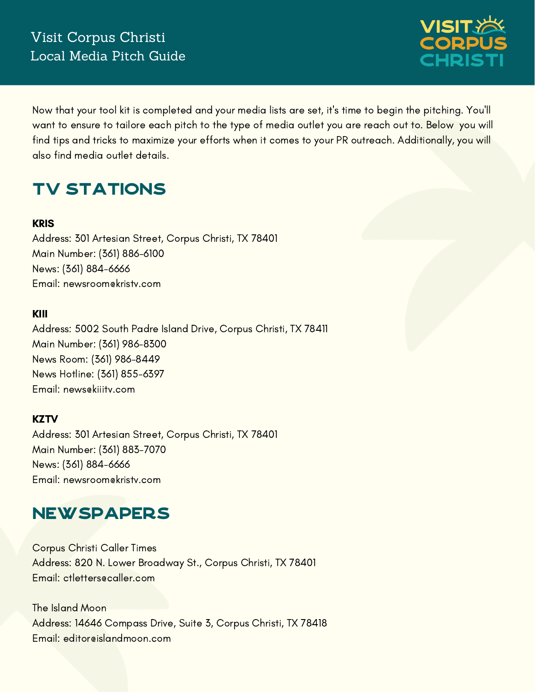

Now that your tool kit is completed and your media lists are set, it's time to begin the pitching. You'll want to ensure to tailore each pitch to the type of media outlet you are reach out to. Below you will find tips and tricks to maximize your efforts when it comes to your PR outreach. Additionally, you will also find media outlet details.

# **TV STATIONS**

#### **KRIS**

Address: 301 Artesian Street, Corpus Christi, TX 78401 Main Number: (361) 886-6100 News: (361) 884-6666 Email: newsroom@kristv.com

#### KIII

Address: 5002 South Padre Island Drive, Corpus Christi, TX 78411 Main Number: (361) 986-8300 News Room: (361) 986-8449 News Hotline: (361) 855-6397 Email: news@kiiitv.com

#### **KZTV**

Address: 301 Artesian Street, Corpus Christi, TX 78401 Main Number: (361) 883-7070 News: (361) 884-6666 Email: newsroom@kristv.com

### **NEWSPAPERS**

Corpus Christi Caller Times Address: 820 N. Lower Broadway St., Corpus Christi, TX 78401 Email: ctletters@caller.com

The Island Moon Address: 14646 Compass Drive, Suite 3, Corpus Christi, TX 78418 Email: editor@islandmoon.com